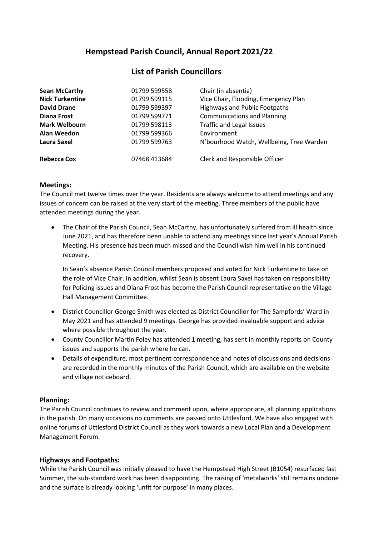# **Hempstead Parish Council, Annual Report 2021/22**

## **List of Parish Councillors**

| <b>Sean McCarthy</b>                       | 01799 599558                 | Chair (in absentia)                                                   |
|--------------------------------------------|------------------------------|-----------------------------------------------------------------------|
| <b>Nick Turkentine</b>                     | 01799 599115                 | Vice Chair, Flooding, Emergency Plan                                  |
| <b>David Drane</b>                         | 01799 599397                 | <b>Highways and Public Footpaths</b>                                  |
| <b>Diana Frost</b><br><b>Mark Welbourn</b> | 01799 599771<br>01799 598113 | <b>Communications and Planning</b><br><b>Traffic and Legal Issues</b> |
|                                            |                              |                                                                       |
| Laura Saxel                                | 01799 599763                 | N'bourhood Watch, Wellbeing, Tree Warden                              |
| Rebecca Cox                                | 07468 413684                 | Clerk and Responsible Officer                                         |

## **Meetings:**

The Council met twelve times over the year. Residents are always welcome to attend meetings and any issues of concern can be raised at the very start of the meeting. Three members of the public have attended meetings during the year.

• The Chair of the Parish Council, Sean McCarthy, has unfortunately suffered from ill health since June 2021, and has therefore been unable to attend any meetings since last year's Annual Parish Meeting. His presence has been much missed and the Council wish him well in his continued recovery.

In Sean's absence Parish Council members proposed and voted for Nick Turkentine to take on the role of Vice Chair. In addition, whilst Sean is absent Laura Saxel has taken on responsibility for Policing issues and Diana Frost has become the Parish Council representative on the Village Hall Management Committee.

- District Councillor George Smith was elected as District Councillor for The Sampfords' Ward in May 2021 and has attended 9 meetings. George has provided invaluable support and advice where possible throughout the year.
- County Councillor Martin Foley has attended 1 meeting, has sent in monthly reports on County issues and supports the parish where he can.
- Details of expenditure, most pertinent correspondence and notes of discussions and decisions are recorded in the monthly minutes of the Parish Council, which are available on the website and village noticeboard.

## **Planning:**

The Parish Council continues to review and comment upon, where appropriate, all planning applications in the parish. On many occasions no comments are passed onto Uttlesford. We have also engaged with online forums of Uttlesford District Council as they work towards a new Local Plan and a Development Management Forum.

## **Highways and Footpaths:**

While the Parish Council was initially pleased to have the Hempstead High Street (B1054) resurfaced last Summer, the sub-standard work has been disappointing. The raising of 'metalworks' still remains undone and the surface is already looking 'unfit for purpose' in many places.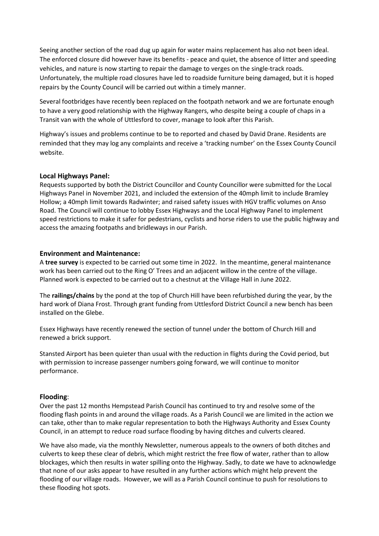Seeing another section of the road dug up again for water mains replacement has also not been ideal. The enforced closure did however have its benefits - peace and quiet, the absence of litter and speeding vehicles, and nature is now starting to repair the damage to verges on the single-track roads. Unfortunately, the multiple road closures have led to roadside furniture being damaged, but it is hoped repairs by the County Council will be carried out within a timely manner.

Several footbridges have recently been replaced on the footpath network and we are fortunate enough to have a very good relationship with the Highway Rangers, who despite being a couple of chaps in a Transit van with the whole of Uttlesford to cover, manage to look after this Parish.

Highway's issues and problems continue to be to reported and chased by David Drane. Residents are reminded that they may log any complaints and receive a 'tracking number' on the Essex County Council website.

## **Local Highways Panel:**

Requests supported by both the District Councillor and County Councillor were submitted for the Local Highways Panel in November 2021, and included the extension of the 40mph limit to include Bramley Hollow; a 40mph limit towards Radwinter; and raised safety issues with HGV traffic volumes on Anso Road. The Council will continue to lobby Essex Highways and the Local Highway Panel to implement speed restrictions to make it safer for pedestrians, cyclists and horse riders to use the public highway and access the amazing footpaths and bridleways in our Parish.

## **Environment and Maintenance:**

A **tree survey** is expected to be carried out some time in 2022. In the meantime, general maintenance work has been carried out to the Ring O' Trees and an adjacent willow in the centre of the village. Planned work is expected to be carried out to a chestnut at the Village Hall in June 2022.

The **railings/chains** by the pond at the top of Church Hill have been refurbished during the year, by the hard work of Diana Frost. Through grant funding from Uttlesford District Council a new bench has been installed on the Glebe.

Essex Highways have recently renewed the section of tunnel under the bottom of Church Hill and renewed a brick support.

Stansted Airport has been quieter than usual with the reduction in flights during the Covid period, but with permission to increase passenger numbers going forward, we will continue to monitor performance.

#### **Flooding**:

Over the past 12 months Hempstead Parish Council has continued to try and resolve some of the flooding flash points in and around the village roads. As a Parish Council we are limited in the action we can take, other than to make regular representation to both the Highways Authority and Essex County Council, in an attempt to reduce road surface flooding by having ditches and culverts cleared.

We have also made, via the monthly Newsletter, numerous appeals to the owners of both ditches and culverts to keep these clear of debris, which might restrict the free flow of water, rather than to allow blockages, which then results in water spilling onto the Highway. Sadly, to date we have to acknowledge that none of our asks appear to have resulted in any further actions which might help prevent the flooding of our village roads. However, we will as a Parish Council continue to push for resolutions to these flooding hot spots.